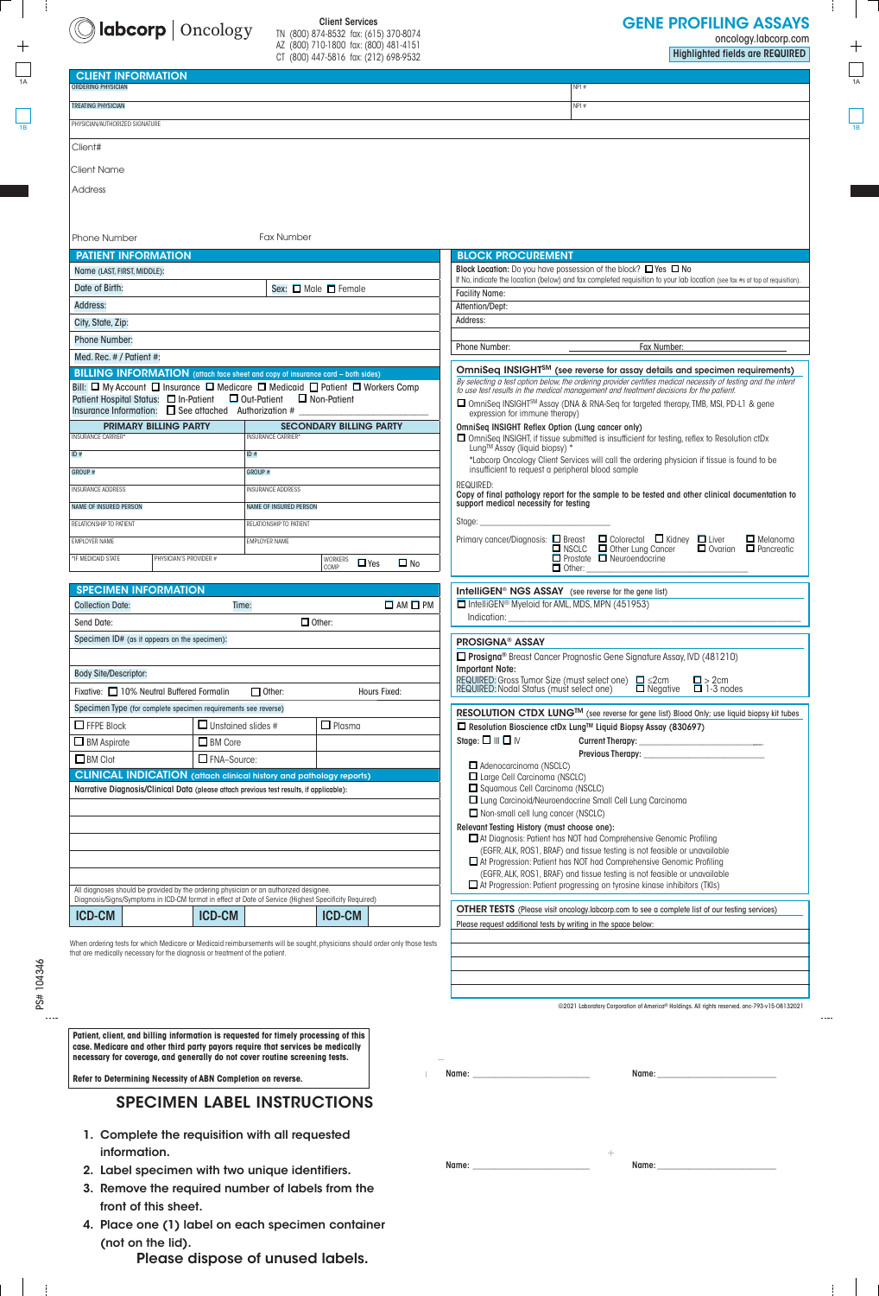

## Client Services TN (800) 874-8532 fax: (615) 370-8074

AZ (800) 710-1800 fax: (800) 481-4151 CT (800) 447-5816 fax: (212) 698-9532 oncology.labcorp.com

Highlighted fields are REQUIRED

| <b>CLIENT INFORMATION</b>                                                                                                       |                               |                                                                                                                                                |                                                                                                                                                                                                                      |  |  |  |
|---------------------------------------------------------------------------------------------------------------------------------|-------------------------------|------------------------------------------------------------------------------------------------------------------------------------------------|----------------------------------------------------------------------------------------------------------------------------------------------------------------------------------------------------------------------|--|--|--|
| <b>ORDERING PHYSICIAN</b>                                                                                                       |                               |                                                                                                                                                | NPI#                                                                                                                                                                                                                 |  |  |  |
| <b>TREATING PHYSICIAN</b>                                                                                                       |                               |                                                                                                                                                | NPI#                                                                                                                                                                                                                 |  |  |  |
| PHYSICIAN/AUTHORIZED SIGNATURE                                                                                                  |                               |                                                                                                                                                |                                                                                                                                                                                                                      |  |  |  |
| Client#                                                                                                                         |                               |                                                                                                                                                |                                                                                                                                                                                                                      |  |  |  |
| Client Name                                                                                                                     |                               |                                                                                                                                                |                                                                                                                                                                                                                      |  |  |  |
| Address                                                                                                                         |                               |                                                                                                                                                |                                                                                                                                                                                                                      |  |  |  |
|                                                                                                                                 |                               |                                                                                                                                                |                                                                                                                                                                                                                      |  |  |  |
| <b>Fax Number</b><br>Phone Number                                                                                               |                               |                                                                                                                                                |                                                                                                                                                                                                                      |  |  |  |
| <b>PATIENT INFORMATION</b>                                                                                                      |                               |                                                                                                                                                | <b>BLOCK PROCUREMENT</b>                                                                                                                                                                                             |  |  |  |
| Name (LAST, FIRST, MIDDLE):                                                                                                     |                               |                                                                                                                                                | Block Location: Do you have possession of the block? □ Yes □ No                                                                                                                                                      |  |  |  |
| Date of Birth:                                                                                                                  |                               | Sex: $\Box$ Male $\Box$ Female                                                                                                                 | If No, indicate the location (below) and fax completed requisition to your lab location (see fax #s at top of requisition).<br><b>Facility Name:</b>                                                                 |  |  |  |
| Address:                                                                                                                        |                               |                                                                                                                                                | Attention/Dept:                                                                                                                                                                                                      |  |  |  |
| City, State, Zip:                                                                                                               |                               |                                                                                                                                                | Address:                                                                                                                                                                                                             |  |  |  |
| <b>Phone Number:</b>                                                                                                            |                               |                                                                                                                                                |                                                                                                                                                                                                                      |  |  |  |
| Med. Rec. # / Patient #:                                                                                                        |                               |                                                                                                                                                | Phone Number:<br>Fax Number:                                                                                                                                                                                         |  |  |  |
| <b>BILLING INFORMATION</b> (attach face sheet and copy of insurance card - both sides)                                          |                               |                                                                                                                                                | OmniSeq INSIGHT <sup>SM</sup> (see reverse for assay details and specimen requirements)                                                                                                                              |  |  |  |
| Bill: O My Account O Insurance O Medicare O Medicaid O Patient O Workers Comp                                                   |                               |                                                                                                                                                | By selecting a test option below, the ordering provider certifies medical necessity of testing and the intent<br>to use test results in the medical management and treatment decisions for the patient.              |  |  |  |
| Patient Hospital Status: □ In-Patient □ Out-Patient □ Non-Patient<br>Insurance Information: $\Box$ See attached Authorization # |                               |                                                                                                                                                | □ OmniSeq INSIGHT <sup>SM</sup> Assay (DNA & RNA-Seq for targeted therapy, TMB, MSI, PD-L1 & gene<br>expression for immune therapy)                                                                                  |  |  |  |
| <b>PRIMARY BILLING PARTY</b>                                                                                                    |                               | <b>SECONDARY BILLING PARTY</b>                                                                                                                 | OmniSeq INSIGHT Reflex Option (Lung cancer only)                                                                                                                                                                     |  |  |  |
| <b>INSURANCE CARRIER*</b>                                                                                                       | <b>INSURANCE CARRIER*</b>     |                                                                                                                                                | □ OmniSeq INSIGHT, if tissue submitted is insufficient for testing, reflex to Resolution ctDx                                                                                                                        |  |  |  |
| ID #                                                                                                                            | ID#                           |                                                                                                                                                | Lung™ Assay (liquid biopsy) *<br>*Labcorp Oncology Client Services will call the ordering physician if tissue is found to be                                                                                         |  |  |  |
| <b>GROUP #</b>                                                                                                                  | GROUP #                       |                                                                                                                                                | insufficient to request a peripheral blood sample                                                                                                                                                                    |  |  |  |
| <b>INSURANCE ADDRESS</b>                                                                                                        | <b>INSURANCE ADDRESS</b>      |                                                                                                                                                | <b>REQUIRED:</b><br>Copy of final pathology report for the sample to be tested and other clinical documentation to                                                                                                   |  |  |  |
| <b>NAME OF INSURED PERSON</b>                                                                                                   | <b>NAME OF INSURED PERSON</b> |                                                                                                                                                | support medical necessity for testing                                                                                                                                                                                |  |  |  |
| RELATIONSHIP TO PATIENT                                                                                                         | RELATIONSHIP TO PATIENT       |                                                                                                                                                | Stage:                                                                                                                                                                                                               |  |  |  |
| <b>EMPLOYER NAME</b>                                                                                                            | <b>EMPLOYER NAME</b>          |                                                                                                                                                | Primary cancer/Diagnosis: $\Box$ Breast $\Box$ Colorectal $\Box$ Kidney $\Box$ Liver $\Box$ Melanoma<br>$\Box$ NSCLC $\Box$ Other Lung Cancer $\Box$ Ovarian $\Box$ Pancreatic $\Box$ Prostate $\Box$ Neuroendocrine |  |  |  |
| *IF MEDICAID STATE<br>PHYSICIAN'S PROVIDER #                                                                                    |                               | <b>WORKERS</b><br>$\Box$ Yes<br>$\Box$ No<br>COMP                                                                                              | $\Box$ Other:                                                                                                                                                                                                        |  |  |  |
| <b>SPECIMEN INFORMATION</b><br><b>IntelliGEN<sup>®</sup> NGS ASSAY</b> (see reverse for the gene list)                          |                               |                                                                                                                                                |                                                                                                                                                                                                                      |  |  |  |
| <b>Collection Date:</b>                                                                                                         | Time:                         | $\square$ AM $\square$ PM                                                                                                                      | IntelliGEN® Myeloid for AML, MDS, MPN (451953)                                                                                                                                                                       |  |  |  |
| Send Date:                                                                                                                      |                               | $\Box$ Other:                                                                                                                                  | Indication:                                                                                                                                                                                                          |  |  |  |
| Specimen ID# (as it appears on the specimen):                                                                                   |                               |                                                                                                                                                | <b>PROSIGNA® ASSAY</b>                                                                                                                                                                                               |  |  |  |
|                                                                                                                                 |                               |                                                                                                                                                | □ Prosigna <sup>®</sup> Breast Cancer Prognostic Gene Signature Assay, IVD (481210)                                                                                                                                  |  |  |  |
| <b>Body Site/Descriptor:</b>                                                                                                    |                               |                                                                                                                                                | <b>Important Note:</b>                                                                                                                                                                                               |  |  |  |
| Fixative: 10% Neutral Buffered Formalin                                                                                         | $\Box$ Other:                 | REQUIRED: Gross Tumor Size (must select one) □ ≤2cm<br>REQUIRED: Nodal Status (must select one) □ Negative<br>$\frac{1}{2}$ > 2cm<br>1-3 nodes |                                                                                                                                                                                                                      |  |  |  |
| Specimen Type (for complete specimen requirements see reverse)                                                                  |                               |                                                                                                                                                | RESOLUTION CTDX LUNG <sup>TM</sup> (see reverse for gene list) Blood Only; use liquid biopsy kit tubes                                                                                                               |  |  |  |
| $\Box$ FFPE Block                                                                                                               | $\Box$ Unstained slides #     | $\Box$ Plasma                                                                                                                                  | □ Resolution Bioscience ctDx Lung™ Liquid Biopsy Assay (830697)                                                                                                                                                      |  |  |  |
| $\Box$ BM Aspirate                                                                                                              | $\Box$ BM Core                |                                                                                                                                                | Stage: $\square \parallel \square \parallel \vee$                                                                                                                                                                    |  |  |  |
| $\Box$ BM Clot                                                                                                                  | FNA-Source:                   |                                                                                                                                                |                                                                                                                                                                                                                      |  |  |  |
| <b>CLINICAL INDICATION</b> (attach clinical history and pathology reports)                                                      |                               |                                                                                                                                                | Adenocarcinoma (NSCLC)<br>□ Large Cell Carcinoma (NSCLC)                                                                                                                                                             |  |  |  |
| Narrative Diagnosis/Clinical Data (please attach previous test results, if applicable):                                         |                               |                                                                                                                                                | Squamous Cell Carcinoma (NSCLC)                                                                                                                                                                                      |  |  |  |
|                                                                                                                                 |                               |                                                                                                                                                | □ Lung Carcinoid/Neuroendocrine Small Cell Lung Carcinoma                                                                                                                                                            |  |  |  |
|                                                                                                                                 |                               |                                                                                                                                                | Non-small cell lung cancer (NSCLC)<br>Relevant Testing History (must choose one):                                                                                                                                    |  |  |  |
|                                                                                                                                 |                               |                                                                                                                                                | At Diagnosis: Patient has NOT had Comprehensive Genomic Profiling                                                                                                                                                    |  |  |  |
|                                                                                                                                 |                               |                                                                                                                                                | (EGFR, ALK, ROS1, BRAF) and tissue testing is not feasible or unavailable                                                                                                                                            |  |  |  |
|                                                                                                                                 |                               |                                                                                                                                                | □ At Progression: Patient has NOT had Comprehensive Genomic Profiling<br>(EGFR, ALK, ROS1, BRAF) and tissue testing is not feasible or unavailable                                                                   |  |  |  |
| All diagnoses should be provided by the ordering physician or an authorized designee.                                           |                               |                                                                                                                                                | At Progression: Patient progressing on tyrosine kinase inhibitors (TKIs)                                                                                                                                             |  |  |  |
| Diagnosis/Signs/Symptoms in ICD-CM format in effect at Date of Service (Highest Specificity Required)                           |                               |                                                                                                                                                | <b>OTHER TESTS</b> (Please visit oncology labcorp.com to see a complete list of our testing services)                                                                                                                |  |  |  |
| <b>ICD-CM</b>                                                                                                                   | <b>ICD-CM</b>                 | <b>ICD-CM</b>                                                                                                                                  | Please request additional tests by writing in the space below:                                                                                                                                                       |  |  |  |
|                                                                                                                                 |                               | When ordering tests for which Medicare or Medicaid reimbursements will be sought, physicians should order only those tests                     |                                                                                                                                                                                                                      |  |  |  |
| that are medically necessary for the diagnosis or treatment of the patient.                                                     |                               |                                                                                                                                                |                                                                                                                                                                                                                      |  |  |  |
|                                                                                                                                 |                               |                                                                                                                                                |                                                                                                                                                                                                                      |  |  |  |